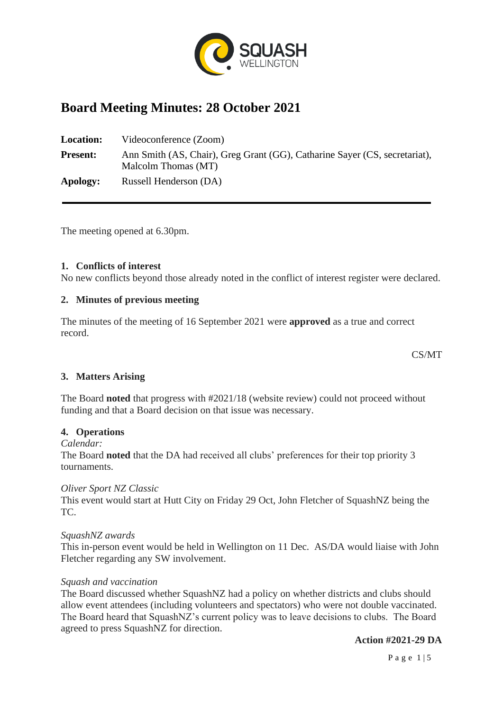

# **Board Meeting Minutes: 28 October 2021**

**Location:** Videoconference (Zoom) **Present:** Ann Smith (AS, Chair), Greg Grant (GG), Catharine Sayer (CS, secretariat), Malcolm Thomas (MT) **Apology:** Russell Henderson (DA)

The meeting opened at 6.30pm.

#### **1. Conflicts of interest**

No new conflicts beyond those already noted in the conflict of interest register were declared.

## **2. Minutes of previous meeting**

The minutes of the meeting of 16 September 2021 were **approved** as a true and correct record.

CS/MT

## **3. Matters Arising**

The Board **noted** that progress with #2021/18 (website review) could not proceed without funding and that a Board decision on that issue was necessary.

#### **4. Operations**

#### *Calendar:*

The Board **noted** that the DA had received all clubs' preferences for their top priority 3 tournaments.

#### *Oliver Sport NZ Classic*

This event would start at Hutt City on Friday 29 Oct, John Fletcher of SquashNZ being the TC.

#### *SquashNZ awards*

This in-person event would be held in Wellington on 11 Dec. AS/DA would liaise with John Fletcher regarding any SW involvement.

#### *Squash and vaccination*

The Board discussed whether SquashNZ had a policy on whether districts and clubs should allow event attendees (including volunteers and spectators) who were not double vaccinated. The Board heard that SquashNZ's current policy was to leave decisions to clubs. The Board agreed to press SquashNZ for direction.

**Action #2021-29 DA**

P a g e 1 | 5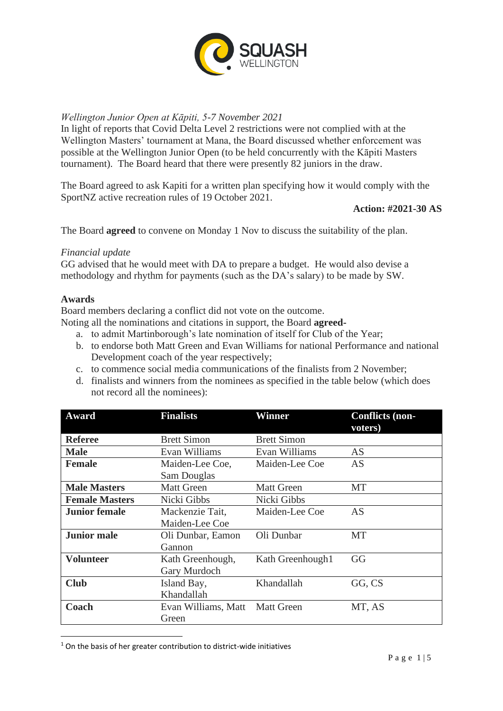

## *Wellington Junior Open at Kāpiti, 5-7 November 2021*

In light of reports that Covid Delta Level 2 restrictions were not complied with at the Wellington Masters' tournament at Mana, the Board discussed whether enforcement was possible at the Wellington Junior Open (to be held concurrently with the Kāpiti Masters tournament). The Board heard that there were presently 82 juniors in the draw.

The Board agreed to ask Kapiti for a written plan specifying how it would comply with the SportNZ active recreation rules of 19 October 2021.

**Action: #2021-30 AS**

The Board **agreed** to convene on Monday 1 Nov to discuss the suitability of the plan.

## *Financial update*

GG advised that he would meet with DA to prepare a budget. He would also devise a methodology and rhythm for payments (such as the DA's salary) to be made by SW.

## **Awards**

Board members declaring a conflict did not vote on the outcome.

- Noting all the nominations and citations in support, the Board **agreed**
	- a. to admit Martinborough's late nomination of itself for Club of the Year;
	- b. to endorse both Matt Green and Evan Williams for national Performance and national Development coach of the year respectively;
	- c. to commence social media communications of the finalists from 2 November;
	- d. finalists and winners from the nominees as specified in the table below (which does not record all the nominees):

| Award                                    | <b>Finalists</b>   | Winner               | <b>Conflicts (non-</b> |
|------------------------------------------|--------------------|----------------------|------------------------|
|                                          |                    |                      | voters)                |
| <b>Referee</b>                           | <b>Brett Simon</b> | <b>Brett Simon</b>   |                        |
| <b>Male</b><br>Evan Williams             |                    | Evan Williams        | AS                     |
| <b>Female</b>                            | Maiden-Lee Coe,    | Maiden-Lee Coe       | AS                     |
|                                          | Sam Douglas        |                      |                        |
| <b>Male Masters</b><br><b>Matt Green</b> |                    | <b>Matt Green</b>    | MT                     |
| <b>Female Masters</b>                    | Nicki Gibbs        | Nicki Gibbs          |                        |
| <b>Junior female</b>                     | Mackenzie Tait,    | Maiden-Lee Coe       | AS                     |
|                                          | Maiden-Lee Coe     |                      |                        |
| <b>Junior male</b>                       | Oli Dunbar, Eamon  | Oli Dunbar           | MT                     |
|                                          | Gannon             |                      |                        |
| <b>Volunteer</b>                         | Kath Greenhough,   | Kath Greenhough1     | GG                     |
|                                          | Gary Murdoch       |                      |                        |
| <b>Club</b><br>Island Bay,               |                    | Khandallah<br>GG, CS |                        |
|                                          | Khandallah         |                      |                        |
| Coach<br>Evan Williams, Matt             |                    | <b>Matt Green</b>    | MT, AS                 |
|                                          | Green              |                      |                        |

<sup>1</sup> On the basis of her greater contribution to district-wide initiatives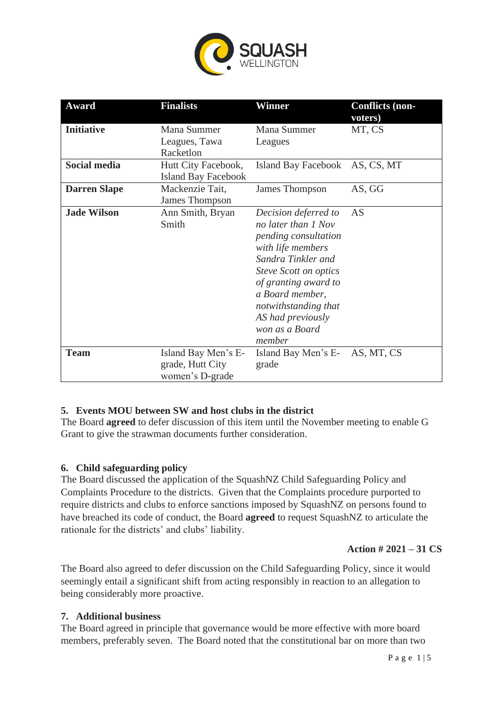

| Award               | <b>Finalists</b>                                           | Winner                                                                                                                                                                                                                                                      | <b>Conflicts (non-</b><br>voters) |
|---------------------|------------------------------------------------------------|-------------------------------------------------------------------------------------------------------------------------------------------------------------------------------------------------------------------------------------------------------------|-----------------------------------|
| <b>Initiative</b>   | Mana Summer<br>Leagues, Tawa<br>Racketlon                  | Mana Summer<br>Leagues                                                                                                                                                                                                                                      | MT, CS                            |
| Social media        | Hutt City Facebook,<br><b>Island Bay Facebook</b>          | Island Bay Facebook AS, CS, MT                                                                                                                                                                                                                              |                                   |
| <b>Darren Slape</b> | Mackenzie Tait,<br>James Thompson                          | James Thompson                                                                                                                                                                                                                                              | AS, GG                            |
| <b>Jade Wilson</b>  | Ann Smith, Bryan<br>Smith                                  | Decision deferred to<br>no later than 1 Nov<br>pending consultation<br>with life members<br>Sandra Tinkler and<br>Steve Scott on optics<br>of granting award to<br>a Board member,<br>notwithstanding that<br>AS had previously<br>won as a Board<br>member | AS                                |
| <b>Team</b>         | Island Bay Men's E-<br>grade, Hutt City<br>women's D-grade | Island Bay Men's E-<br>grade                                                                                                                                                                                                                                | AS, MT, CS                        |

## **5. Events MOU between SW and host clubs in the district**

The Board **agreed** to defer discussion of this item until the November meeting to enable G Grant to give the strawman documents further consideration.

## **6. Child safeguarding policy**

The Board discussed the application of the SquashNZ Child Safeguarding Policy and Complaints Procedure to the districts. Given that the Complaints procedure purported to require districts and clubs to enforce sanctions imposed by SquashNZ on persons found to have breached its code of conduct, the Board **agreed** to request SquashNZ to articulate the rationale for the districts' and clubs' liability.

## **Action # 2021 – 31 CS**

The Board also agreed to defer discussion on the Child Safeguarding Policy, since it would seemingly entail a significant shift from acting responsibly in reaction to an allegation to being considerably more proactive.

## **7. Additional business**

The Board agreed in principle that governance would be more effective with more board members, preferably seven. The Board noted that the constitutional bar on more than two